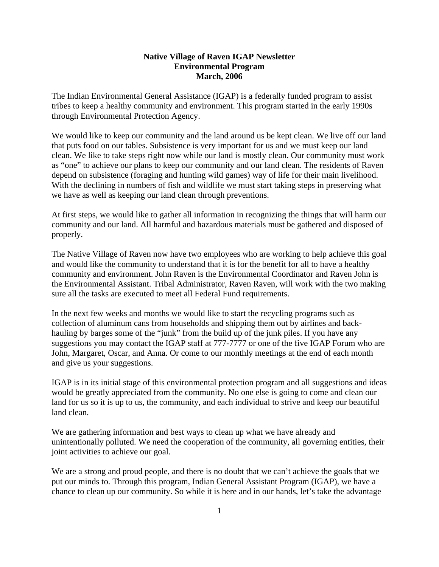# **Native Village of Raven IGAP Newsletter Environmental Program March, 2006**

The Indian Environmental General Assistance (IGAP) is a federally funded program to assist tribes to keep a healthy community and environment. This program started in the early 1990s through Environmental Protection Agency.

We would like to keep our community and the land around us be kept clean. We live off our land that puts food on our tables. Subsistence is very important for us and we must keep our land clean. We like to take steps right now while our land is mostly clean. Our community must work as "one" to achieve our plans to keep our community and our land clean. The residents of Raven depend on subsistence (foraging and hunting wild games) way of life for their main livelihood. With the declining in numbers of fish and wildlife we must start taking steps in preserving what we have as well as keeping our land clean through preventions.

At first steps, we would like to gather all information in recognizing the things that will harm our community and our land. All harmful and hazardous materials must be gathered and disposed of properly.

The Native Village of Raven now have two employees who are working to help achieve this goal and would like the community to understand that it is for the benefit for all to have a healthy community and environment. John Raven is the Environmental Coordinator and Raven John is the Environmental Assistant. Tribal Administrator, Raven Raven, will work with the two making sure all the tasks are executed to meet all Federal Fund requirements.

In the next few weeks and months we would like to start the recycling programs such as collection of aluminum cans from households and shipping them out by airlines and backhauling by barges some of the "junk" from the build up of the junk piles. If you have any suggestions you may contact the IGAP staff at 777-7777 or one of the five IGAP Forum who are John, Margaret, Oscar, and Anna. Or come to our monthly meetings at the end of each month and give us your suggestions.

IGAP is in its initial stage of this environmental protection program and all suggestions and ideas would be greatly appreciated from the community. No one else is going to come and clean our land for us so it is up to us, the community, and each individual to strive and keep our beautiful land clean.

We are gathering information and best ways to clean up what we have already and unintentionally polluted. We need the cooperation of the community, all governing entities, their joint activities to achieve our goal.

We are a strong and proud people, and there is no doubt that we can't achieve the goals that we put our minds to. Through this program, Indian General Assistant Program (IGAP), we have a chance to clean up our community. So while it is here and in our hands, let's take the advantage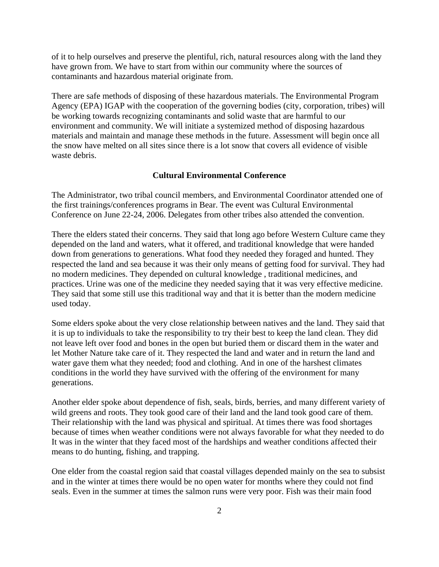of it to help ourselves and preserve the plentiful, rich, natural resources along with the land they have grown from. We have to start from within our community where the sources of contaminants and hazardous material originate from.

There are safe methods of disposing of these hazardous materials. The Environmental Program Agency (EPA) IGAP with the cooperation of the governing bodies (city, corporation, tribes) will be working towards recognizing contaminants and solid waste that are harmful to our environment and community. We will initiate a systemized method of disposing hazardous materials and maintain and manage these methods in the future. Assessment will begin once all the snow have melted on all sites since there is a lot snow that covers all evidence of visible waste debris.

## **Cultural Environmental Conference**

The Administrator, two tribal council members, and Environmental Coordinator attended one of the first trainings/conferences programs in Bear. The event was Cultural Environmental Conference on June 22-24, 2006. Delegates from other tribes also attended the convention.

There the elders stated their concerns. They said that long ago before Western Culture came they depended on the land and waters, what it offered, and traditional knowledge that were handed down from generations to generations. What food they needed they foraged and hunted. They respected the land and sea because it was their only means of getting food for survival. They had no modern medicines. They depended on cultural knowledge , traditional medicines, and practices. Urine was one of the medicine they needed saying that it was very effective medicine. They said that some still use this traditional way and that it is better than the modern medicine used today.

Some elders spoke about the very close relationship between natives and the land. They said that it is up to individuals to take the responsibility to try their best to keep the land clean. They did not leave left over food and bones in the open but buried them or discard them in the water and let Mother Nature take care of it. They respected the land and water and in return the land and water gave them what they needed; food and clothing. And in one of the harshest climates conditions in the world they have survived with the offering of the environment for many generations.

Another elder spoke about dependence of fish, seals, birds, berries, and many different variety of wild greens and roots. They took good care of their land and the land took good care of them. Their relationship with the land was physical and spiritual. At times there was food shortages because of times when weather conditions were not always favorable for what they needed to do It was in the winter that they faced most of the hardships and weather conditions affected their means to do hunting, fishing, and trapping.

One elder from the coastal region said that coastal villages depended mainly on the sea to subsist and in the winter at times there would be no open water for months where they could not find seals. Even in the summer at times the salmon runs were very poor. Fish was their main food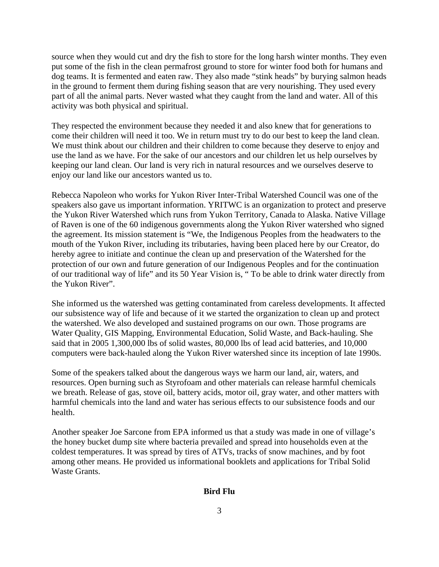source when they would cut and dry the fish to store for the long harsh winter months. They even put some of the fish in the clean permafrost ground to store for winter food both for humans and dog teams. It is fermented and eaten raw. They also made "stink heads" by burying salmon heads in the ground to ferment them during fishing season that are very nourishing. They used every part of all the animal parts. Never wasted what they caught from the land and water. All of this activity was both physical and spiritual.

They respected the environment because they needed it and also knew that for generations to come their children will need it too. We in return must try to do our best to keep the land clean. We must think about our children and their children to come because they deserve to enjoy and use the land as we have. For the sake of our ancestors and our children let us help ourselves by keeping our land clean. Our land is very rich in natural resources and we ourselves deserve to enjoy our land like our ancestors wanted us to.

Rebecca Napoleon who works for Yukon River Inter-Tribal Watershed Council was one of the speakers also gave us important information. YRITWC is an organization to protect and preserve the Yukon River Watershed which runs from Yukon Territory, Canada to Alaska. Native Village of Raven is one of the 60 indigenous governments along the Yukon River watershed who signed the agreement. Its mission statement is "We, the Indigenous Peoples from the headwaters to the mouth of the Yukon River, including its tributaries, having been placed here by our Creator, do hereby agree to initiate and continue the clean up and preservation of the Watershed for the protection of our own and future generation of our Indigenous Peoples and for the continuation of our traditional way of life" and its 50 Year Vision is, " To be able to drink water directly from the Yukon River".

She informed us the watershed was getting contaminated from careless developments. It affected our subsistence way of life and because of it we started the organization to clean up and protect the watershed. We also developed and sustained programs on our own. Those programs are Water Quality, GIS Mapping, Environmental Education, Solid Waste, and Back-hauling. She said that in 2005 1,300,000 lbs of solid wastes, 80,000 lbs of lead acid batteries, and 10,000 computers were back-hauled along the Yukon River watershed since its inception of late 1990s.

Some of the speakers talked about the dangerous ways we harm our land, air, waters, and resources. Open burning such as Styrofoam and other materials can release harmful chemicals we breath. Release of gas, stove oil, battery acids, motor oil, gray water, and other matters with harmful chemicals into the land and water has serious effects to our subsistence foods and our health.

Another speaker Joe Sarcone from EPA informed us that a study was made in one of village's the honey bucket dump site where bacteria prevailed and spread into households even at the coldest temperatures. It was spread by tires of ATVs, tracks of snow machines, and by foot among other means. He provided us informational booklets and applications for Tribal Solid Waste Grants.

### **Bird Flu**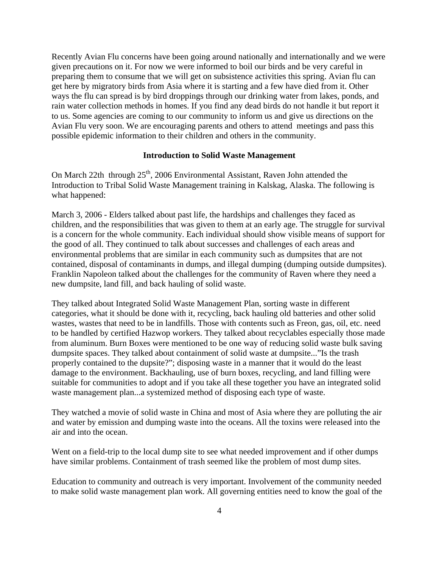Recently Avian Flu concerns have been going around nationally and internationally and we were given precautions on it. For now we were informed to boil our birds and be very careful in preparing them to consume that we will get on subsistence activities this spring. Avian flu can get here by migratory birds from Asia where it is starting and a few have died from it. Other ways the flu can spread is by bird droppings through our drinking water from lakes, ponds, and rain water collection methods in homes. If you find any dead birds do not handle it but report it to us. Some agencies are coming to our community to inform us and give us directions on the Avian Flu very soon. We are encouraging parents and others to attend meetings and pass this possible epidemic information to their children and others in the community.

## **Introduction to Solid Waste Management**

On March 22th through  $25<sup>th</sup>$ , 2006 Environmental Assistant, Raven John attended the Introduction to Tribal Solid Waste Management training in Kalskag, Alaska. The following is what happened:

March 3, 2006 - Elders talked about past life, the hardships and challenges they faced as children, and the responsibilities that was given to them at an early age. The struggle for survival is a concern for the whole community. Each individual should show visible means of support for the good of all. They continued to talk about successes and challenges of each areas and environmental problems that are similar in each community such as dumpsites that are not contained, disposal of contaminants in dumps, and illegal dumping (dumping outside dumpsites). Franklin Napoleon talked about the challenges for the community of Raven where they need a new dumpsite, land fill, and back hauling of solid waste.

They talked about Integrated Solid Waste Management Plan, sorting waste in different categories, what it should be done with it, recycling, back hauling old batteries and other solid wastes, wastes that need to be in landfills. Those with contents such as Freon, gas, oil, etc. need to be handled by certified Hazwop workers. They talked about recyclables especially those made from aluminum. Burn Boxes were mentioned to be one way of reducing solid waste bulk saving dumpsite spaces. They talked about containment of solid waste at dumpsite..."Is the trash properly contained to the dupsite?"; disposing waste in a manner that it would do the least damage to the environment. Backhauling, use of burn boxes, recycling, and land filling were suitable for communities to adopt and if you take all these together you have an integrated solid waste management plan...a systemized method of disposing each type of waste.

They watched a movie of solid waste in China and most of Asia where they are polluting the air and water by emission and dumping waste into the oceans. All the toxins were released into the air and into the ocean.

Went on a field-trip to the local dump site to see what needed improvement and if other dumps have similar problems. Containment of trash seemed like the problem of most dump sites.

Education to community and outreach is very important. Involvement of the community needed to make solid waste management plan work. All governing entities need to know the goal of the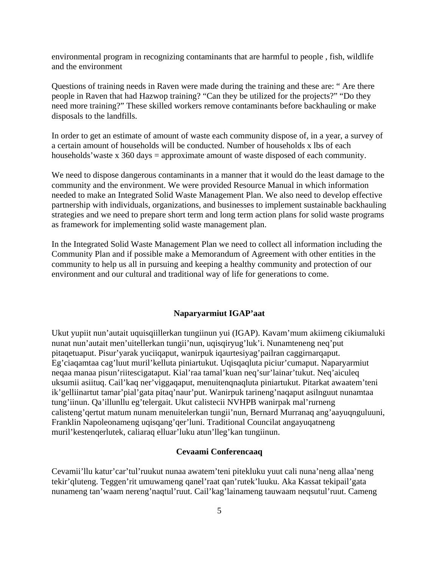environmental program in recognizing contaminants that are harmful to people , fish, wildlife and the environment

Questions of training needs in Raven were made during the training and these are: " Are there people in Raven that had Hazwop training? "Can they be utilized for the projects?" "Do they need more training?" These skilled workers remove contaminants before backhauling or make disposals to the landfills.

In order to get an estimate of amount of waste each community dispose of, in a year, a survey of a certain amount of households will be conducted. Number of households x lbs of each households' waste x 360 days = approximate amount of waste disposed of each community.

We need to dispose dangerous contaminants in a manner that it would do the least damage to the community and the environment. We were provided Resource Manual in which information needed to make an Integrated Solid Waste Management Plan. We also need to develop effective partnership with individuals, organizations, and businesses to implement sustainable backhauling strategies and we need to prepare short term and long term action plans for solid waste programs as framework for implementing solid waste management plan.

In the Integrated Solid Waste Management Plan we need to collect all information including the Community Plan and if possible make a Memorandum of Agreement with other entities in the community to help us all in pursuing and keeping a healthy community and protection of our environment and our cultural and traditional way of life for generations to come.

## **Naparyarmiut IGAP'aat**

Ukut yupiit nun'autait uquisqiillerkan tungiinun yui (IGAP). Kavam'mum akiimeng cikiumaluki nunat nun'autait men'uitellerkan tungii'nun, uqisqiryug'luk'i. Nunamteneng neq'put pitaqetuaput. Pisur'yarak yuciiqaput, wanirpuk iqaurtesiyag'pailran caggirnarqaput. Eg'ciaqamtaa cag'luut muril'kelluta piniartukut. Uqisqaqluta piciur'cumaput. Naparyarmiut neqaa manaa pisun'riitescigataput. Kial'raa tamal'kuan neq'sur'lainar'tukut. Neq'aiculeq uksumii asiituq. Cail'kaq ner'viggaqaput, menuitenqnaqluta piniartukut. Pitarkat awaatem'teni ik'gelliinartut tamar'pial'gata pitaq'naur'put. Wanirpuk tarineng'naqaput asilnguut nunamtaa tung'iinun. Qa'illunllu eg'telergait. Ukut calistecii NVHPB wanirpak mal'rurneng calisteng'qertut matum nunam menuitelerkan tungii'nun, Bernard Murranaq ang'aayuqnguluuni, Franklin Napoleonameng uqisqang'qer'luni. Traditional Councilat angayuqatneng muril'kestenqerlutek, caliaraq elluar'luku atun'lleg'kan tungiinun.

#### **Cevaami Conferencaaq**

Cevamii'llu katur'car'tul'ruukut nunaa awatem'teni pitekluku yuut cali nuna'neng allaa'neng tekir'qluteng. Teggen'rit umuwameng qanel'raat qan'rutek'luuku. Aka Kassat tekipail'gata nunameng tan'waam nereng'naqtul'ruut. Cail'kag'lainameng tauwaam neqsutul'ruut. Cameng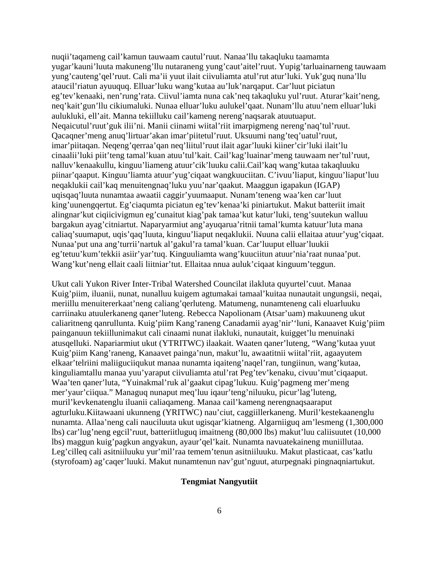nuqii'taqameng cail'kamun tauwaam cautul'ruut. Nanaa'llu takaqluku taamamta yugar'kauni'luuta makuneng'llu nutaraneng yung'caut'aitel'ruut. Yupig'tarluainarneng tauwaam yung'cauteng'qel'ruut. Cali ma'ii yuut ilait ciivuliamta atul'rut atur'luki. Yuk'guq nuna'llu ataucil'riatun ayuuquq. Elluar'luku wang'kutaa au'luk'narqaput. Car'luut piciatun eg'tev'kenaaki, nen'rung'rata. Ciivul'iamta nuna cak'neq takaqluku yul'ruut. Aturar'kait'neng, neq'kait'gun'llu cikiumaluki. Nunaa elluar'luku aulukel'qaat. Nunam'llu atuu'nem elluar'luki aulukluki, ell'ait. Manna tekiilluku cail'kameng nereng'naqsarak atuutuaput. Neqaicutul'ruut'guk ilii'ni. Manii ciinami wiital'riit imarpigmeng nereng'naq'tul'ruut. Qacaqner'meng anuq'lirtuar'akan imar'piitetul'ruut. Uksuumi nang'teq'uatul'ruut, imar'piitaqan. Neqeng'qerraa'qan neq'liitul'ruut ilait agar'luuki kiiner'cir'luki ilait'lu cinaalii'luki piit'teng tamal'kuan atuu'tul'kait. Cail'kag'luainar'meng tauwaam ner'tul'ruut, nalluv'kenaakullu, kinguu'liameng atuur'cik'luuku calii.Cail'kaq wang'kutaa takaqluuku piinar'qaaput. Kinguu'liamta atuur'yug'ciqaat wangkuuciitan. C'ivuu'liaput, kinguu'liaput'luu neqaklukii cail'kaq menuitengnaq'luku yuu'nar'qaakut. Maaggun igapakun (IGAP) uqisqaq'luuta nunamtaa awaatii caggir'yuumaaput. Nunam'teneng waa'ken car'luut king'uunengqertut. Eg'ciaqumta piciatun eg'tev'kenaa'ki piniartukut. Makut batteriit imait alingnar'kut ciqiicivigmun eg'cunaitut kiag'pak tamaa'kut katur'luki, teng'suutekun walluu bargakun ayag'citniartut. Naparyarmiut ang'ayuqarua'ritnii tamal'kumta katuur'luta mana caliaq'suumaput, uqis'qaq'luuta, kinguu'liaput neqaklukii. Nuuna calii ellaitaa atuur'yug'ciqaat. Nunaa'put una ang'turrii'nartuk al'gakul'ra tamal'kuan. Car'luuput elluar'luukii eg'tetuu'kum'tekkii asiir'yar'tuq. Kinguuliamta wang'kuuciitun atuur'nia'raat nunaa'put. Wang'kut'neng ellait caali liitniar'tut. Ellaitaa nnua auluk'ciqaat kinguum'teggun.

Ukut cali Yukon River Inter-Tribal Watershed Councilat ilakluta quyurtel'cuut. Manaa Kuig'piim, iluanii, nunat, nunalluu kuigem agtumakai tamaal'kuitaa nunautait ungungsii, neqai, meriillu menuitererkaat'neng caliang'qerluteng. Matumeng, nunamteneng cali eluarluuku carriinaku atuulerkaneng qaner'luteng. Rebecca Napolionam (Atsar'uam) makuuneng ukut caliaritneng qanrullunta. Kuig'piim Kang'raneng Canadamii ayag'nir''luni, Kanaavet Kuig'piim painganuun tekiillunimakut cali cinaami nunat ilakluki, nunautait, kuigget'lu menuinaki atusqelluki. Napariarmiut ukut (YTRITWC) ilaakait. Waaten qaner'luteng, "Wang'kutaa yuut Kuig'piim Kang'raneng, Kanaavet painga'nun, makut'lu, awaatitnii wiital'riit, agaayutem elkaar'telriini maliiguciiqukut manaa nunamta iqaiteng'naqel'ran, tungiinun, wang'kutaa, kinguliamtallu manaa yuu'yaraput ciivuliamta atul'rat Peg'tev'kenaku, civuu'mut'ciqaaput. Waa'ten qaner'luta, "Yuinakmal'ruk al'gaakut cipag'lukuu. Kuig'pagmeng mer'meng mer'yaur'ciiqua." Managuq nunaput meq'luu iqaur'teng'niluuku, picur'lag'luteng, muril'kevkenatenglu iluanii caliaqameng. Manaa cail'kameng nerengnaqsaaraput agturluku.Kiitawaani ukunneng (YRITWC) nau'ciut, caggiillerkaneng. Muril'kestekaanenglu nunamta. Allaa'neng cali nauciluuta ukut ugisqar'kiatneng. Algarniiguq am'lesmeng (1,300,000 lbs) car'lug'neng egcil'ruut, batteriitluguq imaitneng (80,000 lbs) makut'luu caliisuutet (10,000 lbs) maggun kuig'pagkun angyakun, ayaur'qel'kait. Nunamta navuatekaineng muniillutaa. Leg'cilleq cali asitniiluuku yur'mil'raa temem'tenun asitniiluuku. Makut plasticaat, cas'katlu (styrofoam) ag'caqer'luuki. Makut nunamtenun nav'gut'nguut, aturpegnaki pingnaqniartukut.

# **Tengmiat Nangyutiit**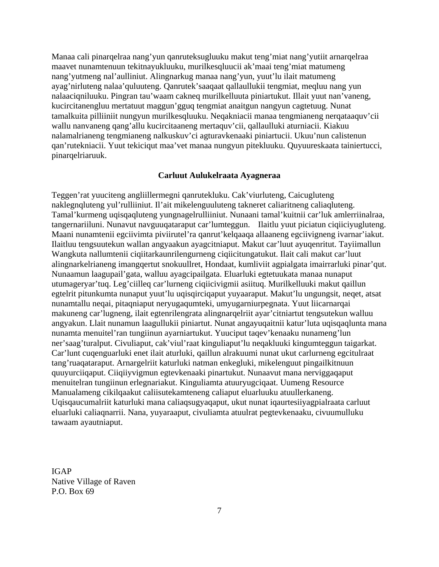Manaa cali pinarqelraa nang'yun qanruteksugluuku makut teng'miat nang'yutiit arnarqelraa maavet nunamtenuun tekitnayukluuku, murilkesqluucii ak'maai teng'miat matumeng nang'yutmeng nal'aulliniut. Alingnarkug manaa nang'yun, yuut'lu ilait matumeng ayag'nirluteng nalaa'quluuteng. Qanrutek'saaqaat qallaullukii tengmiat, meqluu nang yun nalaaciqniluuku. Pingran tau'waam cakneq murilkelluuta piniartukut. Illait yuut nan'vaneng, kucircitanengluu mertatuut maggun'gguq tengmiat anaitgun nangyun cagtetuug. Nunat tamalkuita pilliiniit nungyun murilkesqluuku. Neqakniacii manaa tengmianeng nerqataaquv'cii wallu nanvaneng qang'allu kucircitaaneng mertaquv'cii, qallaulluki aturniacii. Kiakuu nalamalrianeng tengmianeng nalkuskuv'ci agturavkenaaki piniartucii. Ukuu'nun calistenun qan'rutekniacii. Yuut tekiciqut maa'vet manaa nungyun pitekluuku. Quyuureskaata tainiertucci, pinarqelriaruuk.

## **Carluut Aulukelraata Ayagneraa**

Teggen'rat yuuciteng angliillermegni qanrutekluku. Cak'viurluteng, Caicugluteng naklegnqluteng yul'rulliiniut. Il'ait mikelenguuluteng takneret caliaritneng caliaqluteng. Tamal'kurmeng uqisqaqluteng yungnagelrulliiniut. Nunaani tamal'kuitnii car'luk amlerriinalraa, tangernariiluni. Nunavut navguuqataraput car'lumteggun. Ilaitlu yuut piciatun ciqiiciyugluteng. Maani nunamtenii egciivimta piviirutel'ra qanrut'kelqaaqa allaaneng egciivigneng ivarnar'iakut. Ilaitluu tengsuutekun wallan angyaakun ayagcitniaput. Makut car'luut ayuqenritut. Tayiimallun Wangkuta nallumtenii ciqiitarkaunrilengurneng ciqiicitungatukut. Ilait cali makut car'luut alingnarkelrianeng imangqertut snokuullret, Hondaat, kumliviit agpialgata imairrarluki pinar'qut. Nunaamun laagupail'gata, walluu ayagcipailgata. Eluarluki egtetuukata manaa nunaput utumageryar'tuq. Leg'ciilleq car'lurneng ciqiicivigmii asiituq. Murilkelluuki makut qaillun egtelrit pitunkumta nunaput yuut'lu uqisqirciqaput yuyaaraput. Makut'lu ungungsit, neqet, atsat nunamtallu neqai, pitaqniaput neryugaqumteki, umyugarniurpegnata. Yuut liicarnarqai makuneng car'lugneng, ilait egtenrilengrata alingnarqelriit ayar'citniartut tengsutekun walluu angyakun. Llait nunamun laagullukii piniartut. Nunat angayuqaitnii katur'luta uqisqaqlunta mana nunamta menuitel'ran tungiinun ayarniartukut. Yuuciput taqev'kenaaku nunameng'lun ner'saag'turalput. Civuliaput, cak'viul'raat kinguliaput'lu neqakluuki kingumteggun taigarkat. Car'lunt cuqenguarluki enet ilait aturluki, qaillun alrakuumi nunat ukut carlurneng egcitulraat tang'ruaqataraput. Arnargelriit katurluki natman enkegluki, mikelenguut pingailkitnuun quuyurciiqaput. Ciiqiiyvigmun egtevkenaaki pinartukut. Nunaavut mana nerviggaqaput menuitelran tungiinun erlegnariakut. Kinguliamta atuuryugciqaat. Uumeng Resource Manualameng cikilqaakut caliisutekamteneng caliaput eluarluuku atuullerkaneng. Uqisqaucumalriit katurluki mana caliaqsugyaqaput, ukut nunat iqaurtesiiyagpialraata carluut eluarluki caliaqnarrii. Nana, yuyaraaput, civuliamta atuulrat pegtevkenaaku, civuumulluku tawaam ayautniaput.

IGAP Native Village of Raven P.O. Box 69